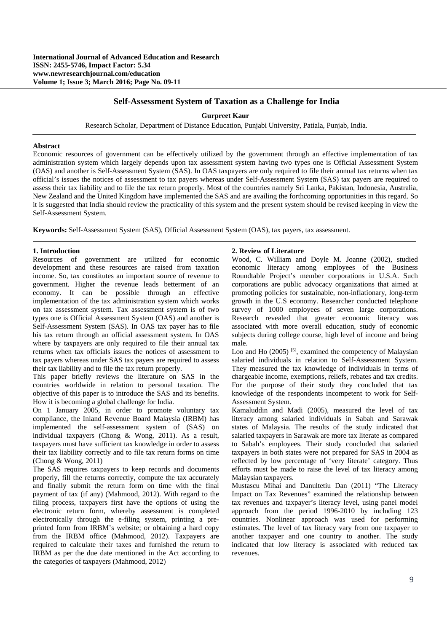# **Self-Assessment System of Taxation as a Challenge for India**

### **Gurpreet Kaur**

Research Scholar, Department of Distance Education, Punjabi University, Patiala, Punjab, India.

### **Abstract**

Economic resources of government can be effectively utilized by the government through an effective implementation of tax administration system which largely depends upon tax assessment system having two types one is Official Assessment System (OAS) and another is Self-Assessment System (SAS). In OAS taxpayers are only required to file their annual tax returns when tax official's issues the notices of assessment to tax payers whereas under Self-Assessment System (SAS) tax payers are required to assess their tax liability and to file the tax return properly. Most of the countries namely Sri Lanka, Pakistan, Indonesia, Australia, New Zealand and the United Kingdom have implemented the SAS and are availing the forthcoming opportunities in this regard. So it is suggested that India should review the practicality of this system and the present system should be revised keeping in view the Self-Assessment System.

**Keywords:** Self-Assessment System (SAS), Official Assessment System (OAS), tax payers, tax assessment.

## **1. Introduction**

Resources of government are utilized for economic development and these resources are raised from taxation income. So, tax constitutes an important source of revenue to government. Higher the revenue leads betterment of an economy. It can be possible through an effective implementation of the tax administration system which works on tax assessment system. Tax assessment system is of two types one is Official Assessment System (OAS) and another is Self-Assessment System (SAS). In OAS tax payer has to file his tax return through an official assessment system. In OAS where by taxpayers are only required to file their annual tax returns when tax officials issues the notices of assessment to tax payers whereas under SAS tax payers are required to assess their tax liability and to file the tax return properly.

This paper briefly reviews the literature on SAS in the countries worldwide in relation to personal taxation. The objective of this paper is to introduce the SAS and its benefits. How it is becoming a global challenge for India.

On 1 January 2005, in order to promote voluntary tax compliance, the Inland Revenue Board Malaysia (IRBM) has implemented the self-assessment system of (SAS) on individual taxpayers (Chong & Wong, 2011). As a result, taxpayers must have sufficient tax knowledge in order to assess their tax liability correctly and to file tax return forms on time (Chong & Wong, 2011)

The SAS requires taxpayers to keep records and documents properly, fill the returns correctly, compute the tax accurately and finally submit the return form on time with the final payment of tax (if any) (Mahmood, 2012). With regard to the filing process, taxpayers first have the options of using the electronic return form, whereby assessment is completed electronically through the e-filing system, printing a preprinted form from IRBM's website; or obtaining a hard copy from the IRBM office (Mahmood, 2012). Taxpayers are required to calculate their taxes and furnished the return to IRBM as per the due date mentioned in the Act according to the categories of taxpayers (Mahmood, 2012)

#### **2. Review of Literature**

Wood, C. William and Doyle M. Joanne (2002), studied economic literacy among employees of the Business Roundtable Project's member corporations in U.S.A. Such corporations are public advocacy organizations that aimed at promoting policies for sustainable, non-inflationary, long-term growth in the U.S economy. Researcher conducted telephone survey of 1000 employees of seven large corporations. Research revealed that greater economic literacy was associated with more overall education, study of economic subjects during college course, high level of income and being male.

Loo and Ho  $(2005)$  [5], examined the competency of Malaysian salaried individuals in relation to Self-Assessment System. They measured the tax knowledge of individuals in terms of chargeable income, exemptions, reliefs, rebates and tax credits. For the purpose of their study they concluded that tax knowledge of the respondents incompetent to work for Self-Assessment System.

Kamaluddin and Madi (2005), measured the level of tax literacy among salaried individuals in Sabah and Sarawak states of Malaysia. The results of the study indicated that salaried taxpayers in Sarawak are more tax literate as compared to Sabah's employees. Their study concluded that salaried taxpayers in both states were not prepared for SAS in 2004 as reflected by low percentage of 'very literate' category. Thus efforts must be made to raise the level of tax literacy among Malaysian taxpayers.

Mustascu Mihai and Danultetiu Dan (2011) "The Literacy Impact on Tax Revenues" examined the relationship between tax revenues and taxpayer's literacy level, using panel model approach from the period 1996-2010 by including 123 countries. Nonlinear approach was used for performing estimates. The level of tax literacy vary from one taxpayer to another taxpayer and one country to another. The study indicated that low literacy is associated with reduced tax revenues.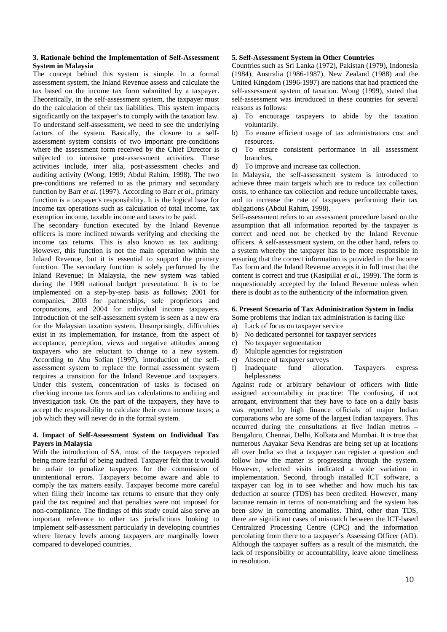## **3. Rationale behind the Implementation of Self-Assessment System in Malaysia**

The concept behind this system is simple. In a formal assessment system, the Inland Revenue assess and calculate the tax based on the income tax form submitted by a taxpayer. Theoretically, in the self-assessment system, the taxpayer must do the calculation of their tax liabilities. This system impacts significantly on the taxpayer's to comply with the taxation law. To understand self-assessment, we need to see the underlying factors of the system. Basically, the closure to a selfassessment system consists of two important pre-conditions where the assessment form received by the Chief Director is subjected to intensive post-assessment activities. These activities include, inter alia, post-assessment checks and auditing activity (Wong, 1999; Abdul Rahim, 1998). The two pre-conditions are referred to as the primary and secondary function by Barr *et al*. (1997). According to Barr *et al*., primary function is a taxpayer's responsibility. It is the logical base for income tax operations such as calculation of total income, tax exemption income, taxable income and taxes to be paid.

The secondary function executed by the Inland Revenue officers is more inclined towards verifying and checking the income tax returns. This is also known as tax auditing. However, this function is not the main operation within the Inland Revenue, but it is essential to support the primary function. The secondary function is solely performed by the Inland Revenue; In Malaysia, the new system was tabled during the 1999 national budget presentation. It is to be implemented on a step-by-step basis as follows; 2001 for companies, 2003 for partnerships, sole proprietors and corporations, and 2004 for individual income taxpayers. Introduction of the self-assessment system is seen as a new era for the Malaysian taxation system. Unsurprisingly, difficulties exist in its implementation, for instance, from the aspect of acceptance, perception, views and negative attitudes among taxpayers who are reluctant to change to a new system. According to Abu Sofian (1997), introduction of the selfassessment system to replace the formal assessment system requires a transition for the Inland Revenue and taxpayers. Under this system, concentration of tasks is focused on checking income tax forms and tax calculations to auditing and investigation task. On the part of the taxpayers, they have to accept the responsibility to calculate their own income taxes; a job which they will never do in the formal system.

## **4. Impact of Self-Assessment System on Individual Tax Payers in Malaysia**

With the introduction of SA, most of the taxpayers reported being more fearful of being audited. Taxpayer felt that it would be unfair to penalize taxpayers for the commission of unintentional errors. Taxpayers become aware and able to comply the tax matters easily. Taxpayer become more careful when filing their income tax returns to ensure that they only paid the tax required and that penalties were not imposed for non-compliance. The findings of this study could also serve an important reference to other tax jurisdictions looking to implement self-assessment particularly in developing countries where literacy levels among taxpayers are marginally lower compared to developed countries.

### **5. Self-Assessment System in Other Countries**

Countries such as Sri Lanka (1972), Pakistan (1979), Indonesia (1984), Australia (1986-1987), New Zealand (1988) and the United Kingdom (1996-1997) are nations that had practiced the self-assessment system of taxation. Wong (1999), stated that self-assessment was introduced in these countries for several reasons as follows:

- a) To encourage taxpayers to abide by the taxation voluntarily.
- b) To ensure efficient usage of tax administrators cost and resources.
- c) To ensure consistent performance in all assessment branches.
- d) To improve and increase tax collection.

In Malaysia, the self-assessment system is introduced to achieve three main targets which are to reduce tax collection costs, to enhance tax collection and reduce uncollectable taxes, and to increase the rate of taxpayers performing their tax obligations (Abdul Rahim, 1998).

Self-assessment refers to an assessment procedure based on the assumption that all information reported by the taxpayer is correct and need not be checked by the Inland Revenue officers. A self-assessment system, on the other hand, refers to a system whereby the taxpayer has to be more responsible in ensuring that the correct information is provided in the Income Tax form and the Inland Revenue accepts it in full trust that the content is correct and true (Kasipillai *et al*., 1999). The form is unquestionably accepted by the Inland Revenue unless when there is doubt as to the authenticity of the information given.

### **6. Present Scenario of Tax Administration System in India**

Some problems that Indian tax administration is facing like

- a) Lack of focus on taxpayer service
- b) No dedicated personnel for taxpayer services
- c) No taxpayer segmentation
- d) Multiple agencies for registration
- e) Absence of taxpayer surveys
- f) Inadequate fund allocation. Taxpayers express helplessness

Against rude or arbitrary behaviour of officers with little assigned accountability in practice: The confusing, if not arrogant, environment that they have to face on a daily basis was reported by high finance officials of major Indian corporations who are some of the largest Indian taxpayers. This occurred during the consultations at five Indian metros – Bengaluru, Chennai, Delhi, Kolkata and Mumbai. It is true that numerous Aayakar Seva Kendras are being set up at locations all over India so that a taxpayer can register a question and follow how the matter is progressing through the system. However, selected visits indicated a wide variation in implementation. Second, through installed ICT software, a taxpayer can log in to see whether and how much his tax deduction at source (TDS) has been credited. However, many lacunae remain in terms of non-matching and the system has been slow in correcting anomalies. Third, other than TDS, there are significant cases of mismatch between the ICT-based Centralized Processing Centre (CPC) and the information percolating from there to a taxpayer's Assessing Officer (AO). Although the taxpayer suffers as a result of the mismatch, the lack of responsibility or accountability, leave alone timeliness in resolution.